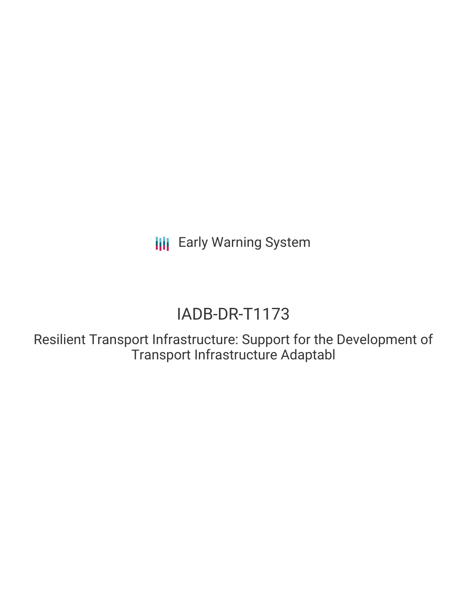**III** Early Warning System

# IADB-DR-T1173

Resilient Transport Infrastructure: Support for the Development of Transport Infrastructure Adaptabl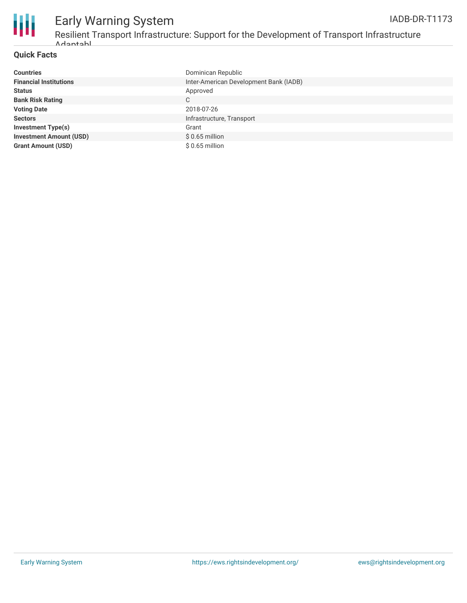

#### Early Warning System Resilient Transport Infrastructure: Support for the Development of Transport Infrastructure Adaptabl IADB-DR-T1173

## **Quick Facts**

| <b>Countries</b>               | Dominican Republic                     |
|--------------------------------|----------------------------------------|
| <b>Financial Institutions</b>  | Inter-American Development Bank (IADB) |
| <b>Status</b>                  | Approved                               |
| <b>Bank Risk Rating</b>        | C                                      |
| <b>Voting Date</b>             | 2018-07-26                             |
| <b>Sectors</b>                 | Infrastructure, Transport              |
| <b>Investment Type(s)</b>      | Grant                                  |
| <b>Investment Amount (USD)</b> | $$0.65$ million                        |
| <b>Grant Amount (USD)</b>      | $$0.65$ million                        |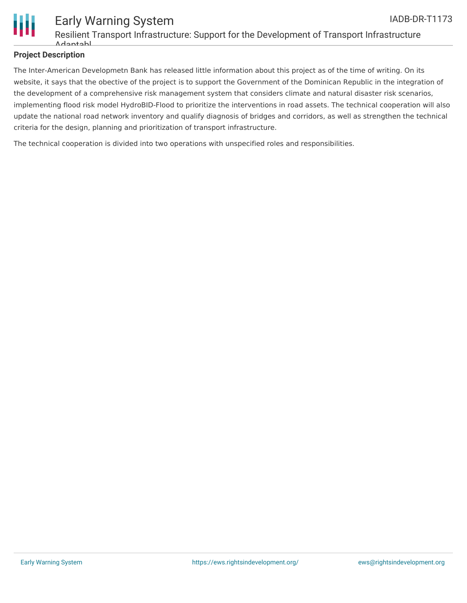

# **Project Description**

The Inter-American Developmetn Bank has released little information about this project as of the time of writing. On its website, it says that the obective of the project is to support the Government of the Dominican Republic in the integration of the development of a comprehensive risk management system that considers climate and natural disaster risk scenarios, implementing flood risk model HydroBID-Flood to prioritize the interventions in road assets. The technical cooperation will also update the national road network inventory and qualify diagnosis of bridges and corridors, as well as strengthen the technical criteria for the design, planning and prioritization of transport infrastructure.

The technical cooperation is divided into two operations with unspecified roles and responsibilities.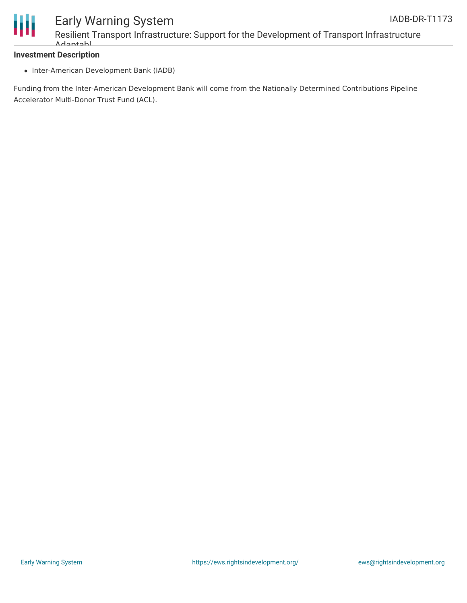

# Ш

# Early Warning System Resilient Transport Infrastructure: Support for the Development of Transport Infrastructure Adaptabl

# **Investment Description**

• Inter-American Development Bank (IADB)

Funding from the Inter-American Development Bank will come from the Nationally Determined Contributions Pipeline Accelerator Multi-Donor Trust Fund (ACL).